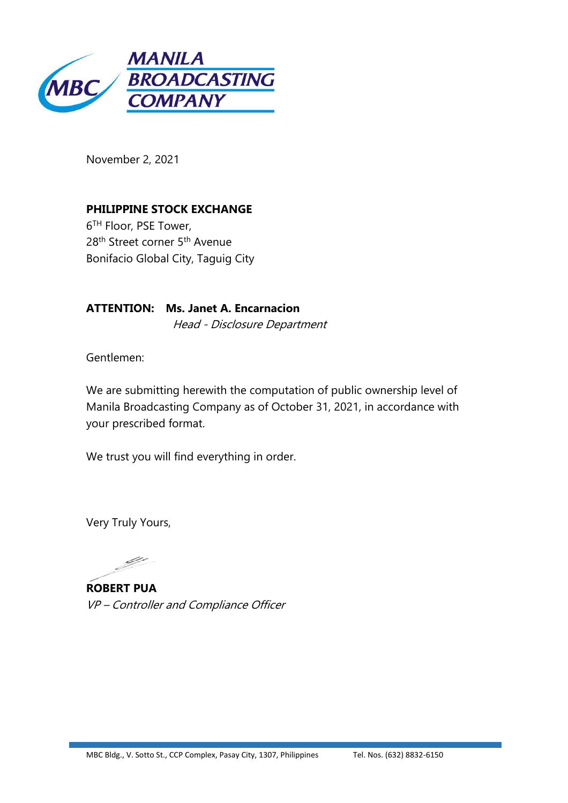

November 2, 2021

**PHILIPPINE STOCK EXCHANGE** 6 TH Floor, PSE Tower, 28<sup>th</sup> Street corner 5<sup>th</sup> Avenue Bonifacio Global City, Taguig City

**ATTENTION: Ms. Janet A. Encarnacion** Head - Disclosure Department

Gentlemen:

We are submitting herewith the computation of public ownership level of Manila Broadcasting Company as of October 31, 2021, in accordance with your prescribed format.

We trust you will find everything in order.

Very Truly Yours,

4

**ROBERT PUA** VP – Controller and Compliance Officer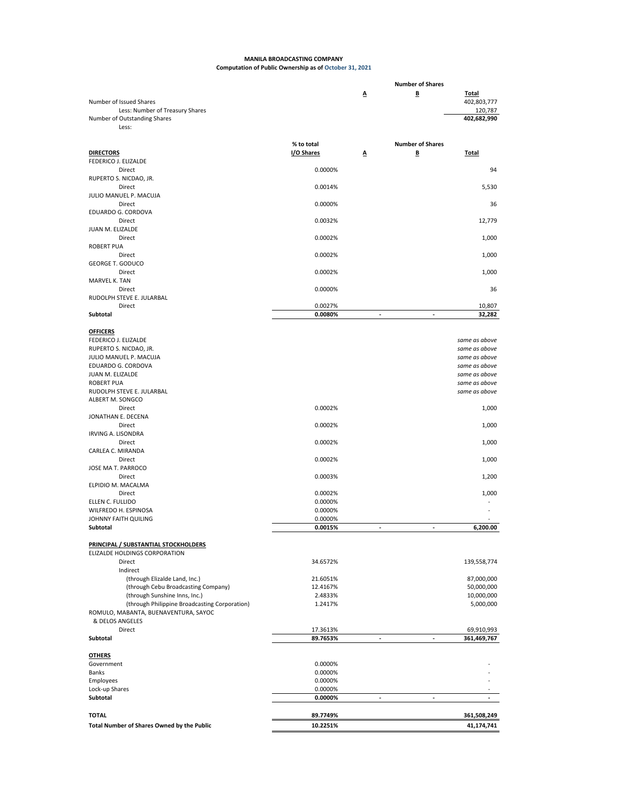## **MANILA BROADCASTING COMPANY Computation of Public Ownership as of October 31, 2021**

|                                                                 |                    |        | <b>Number of Shares</b>  |                                |
|-----------------------------------------------------------------|--------------------|--------|--------------------------|--------------------------------|
| Number of Issued Shares                                         |                    | Δ      | B                        | <b>Total</b><br>402,803,777    |
| Less: Number of Treasury Shares<br>Number of Outstanding Shares |                    |        |                          | 120,787<br>402,682,990         |
| Less:                                                           |                    |        |                          |                                |
|                                                                 |                    |        |                          |                                |
|                                                                 | % to total         |        | <b>Number of Shares</b>  |                                |
| <b>DIRECTORS</b>                                                | I/O Shares         | A      | Β                        | <b>Total</b>                   |
| FEDERICO J. ELIZALDE<br>Direct                                  | 0.0000%            |        |                          | 94                             |
| RUPERTO S. NICDAO, JR.                                          |                    |        |                          |                                |
| Direct                                                          | 0.0014%            |        |                          | 5,530                          |
| JULIO MANUEL P. MACUJA                                          |                    |        |                          |                                |
| Direct                                                          | 0.0000%            |        |                          | 36                             |
| EDUARDO G. CORDOVA                                              |                    |        |                          |                                |
| Direct<br>JUAN M. ELIZALDE                                      | 0.0032%            |        |                          | 12,779                         |
| Direct                                                          | 0.0002%            |        |                          | 1,000                          |
| <b>ROBERT PUA</b>                                               |                    |        |                          |                                |
| Direct                                                          | 0.0002%            |        |                          | 1,000                          |
| <b>GEORGE T. GODUCO</b>                                         |                    |        |                          |                                |
| Direct                                                          | 0.0002%            |        |                          | 1,000                          |
| MARVEL K. TAN                                                   |                    |        |                          |                                |
| Direct<br>RUDOLPH STEVE E. JULARBAL                             | 0.0000%            |        |                          | 36                             |
| Direct                                                          | 0.0027%            |        |                          | 10,807                         |
| Subtotal                                                        | 0.0080%            | ÷,     | ä,                       | 32.282                         |
|                                                                 |                    |        |                          |                                |
| <b>OFFICERS</b>                                                 |                    |        |                          |                                |
| FEDERICO J. ELIZALDE                                            |                    |        |                          | same as above                  |
| RUPERTO S. NICDAO, JR.<br>JULIO MANUEL P. MACUJA                |                    |        |                          | same as above                  |
| EDUARDO G. CORDOVA                                              |                    |        |                          | same as above<br>same as above |
| JUAN M. ELIZALDE                                                |                    |        |                          | same as above                  |
| <b>ROBERT PUA</b>                                               |                    |        |                          | same as above                  |
| RUDOLPH STEVE E. JULARBAL                                       |                    |        |                          | same as above                  |
| ALBERT M. SONGCO                                                |                    |        |                          |                                |
| Direct                                                          | 0.0002%            |        |                          | 1,000                          |
| JONATHAN E. DECENA<br>Direct                                    | 0.0002%            |        |                          | 1,000                          |
| IRVING A. LISONDRA                                              |                    |        |                          |                                |
| Direct                                                          | 0.0002%            |        |                          | 1,000                          |
| CARLEA C. MIRANDA                                               |                    |        |                          |                                |
| Direct                                                          | 0.0002%            |        |                          | 1,000                          |
| JOSE MA T. PARROCO                                              |                    |        |                          |                                |
| Direct                                                          | 0.0003%            |        |                          | 1,200                          |
| ELPIDIO M. MACALMA<br>Direct                                    | 0.0002%            |        |                          | 1,000                          |
| ELLEN C. FULLIDO                                                | 0.0000%            |        |                          |                                |
| WILFREDO H. ESPINOSA                                            | 0.0000%            |        |                          |                                |
| JOHNNY FAITH QUILING                                            | 0.0000%            |        |                          |                                |
| Subtotal                                                        | 0.0015%            | $\sim$ | $\overline{\phantom{a}}$ | 6,200.00                       |
|                                                                 |                    |        |                          |                                |
| PRINCIPAL / SUBSTANTIAL STOCKHOLDERS                            |                    |        |                          |                                |
| ELIZALDE HOLDINGS CORPORATION<br>Direct                         | 34.6572%           |        |                          | 139,558,774                    |
| Indirect                                                        |                    |        |                          |                                |
| (through Elizalde Land, Inc.)                                   | 21.6051%           |        |                          | 87,000,000                     |
| (through Cebu Broadcasting Company)                             | 12.4167%           |        |                          | 50,000,000                     |
| (through Sunshine Inns, Inc.)                                   | 2.4833%            |        |                          | 10,000,000                     |
| (through Philippine Broadcasting Corporation)                   | 1.2417%            |        |                          | 5,000,000                      |
| ROMULO, MABANTA, BUENAVENTURA, SAYOC<br>& DELOS ANGELES         |                    |        |                          |                                |
| Direct                                                          | 17.3613%           |        |                          | 69,910,993                     |
| Subtotal                                                        | 89.7653%           |        |                          | 361,469,767                    |
|                                                                 |                    |        |                          |                                |
| <b>OTHERS</b>                                                   |                    |        |                          |                                |
| Government                                                      | 0.0000%            |        |                          |                                |
| Banks                                                           | 0.0000%            |        |                          |                                |
| Employees<br>Lock-up Shares                                     | 0.0000%<br>0.0000% |        |                          |                                |
| Subtotal                                                        | 0.0000%            | ÷,     | ä,                       |                                |
|                                                                 |                    |        |                          |                                |
| <b>TOTAL</b>                                                    | 89.7749%           |        |                          | 361,508,249                    |
| Total Number of Shares Owned by the Public                      | 10.2251%           |        |                          | 41,174,741                     |